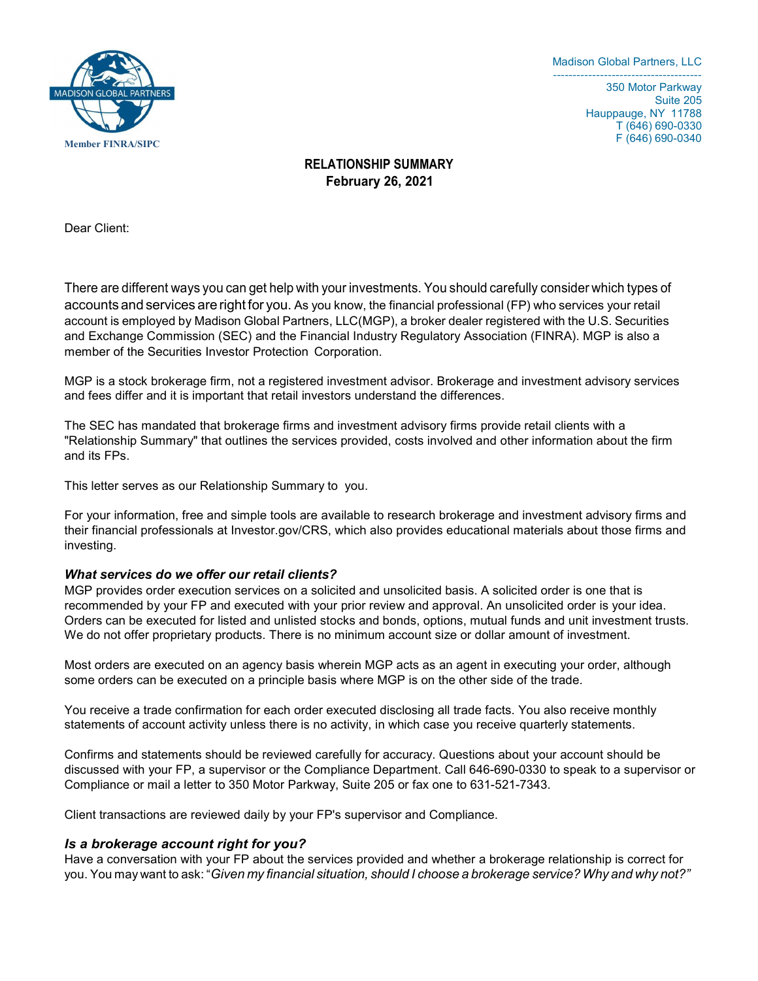

350 Motor Parkway Suite 205 Hauppauge, NY 11788 T (646) 690-0330 F (646) 690-0340

# RELATIONSHIP SUMMARY **February 26**, 202**1**

Dear Client:

There are different ways you can get help with your investments. You should carefully consider which types of accounts and services are right for you. As you know, the financial professional (FP) who services your retail account is employed by Madison Global Partners, LLC(MGP), a broker dealer registered with the U.S. Securities and Exchange Commission (SEC) and the Financial Industry Regulatory Association (FINRA). MGP is also a member of the Securities Investor Protection Corporation.

MGP is a stock brokerage firm, not a registered investment advisor. Brokerage and investment advisory services and fees differ and it is important that retail investors understand the differences.

The SEC has mandated that brokerage firms and investment advisory firms provide retail clients with a "Relationship Summary" that outlines the services provided, costs involved and other information about the firm and its FPs.

This letter serves as our Relationship Summary to you.

For your information, free and simple tools are available to research brokerage and investment advisory firms and their financial professionals at Investor.gov/CRS, which also provides educational materials about those firms and investing.

## What services do we offer our retail clients?

MGP provides order execution services on a solicited and unsolicited basis. A solicited order is one that is recommended by your FP and executed with your prior review and approval. An unsolicited order is your idea. Orders can be executed for listed and unlisted stocks and bonds, options, mutual funds and unit investment trusts. We do not offer proprietary products. There is no minimum account size or dollar amount of investment.

Most orders are executed on an agency basis wherein MGP acts as an agent in executing your order, although some orders can be executed on a principle basis where MGP is on the other side of the trade.

You receive a trade confirmation for each order executed disclosing all trade facts. You also receive monthly statements of account activity unless there is no activity, in which case you receive quarterly statements.

Confirms and statements should be reviewed carefully for accuracy. Questions about your account should be discussed with your FP, a supervisor or the Compliance Department. Call 646-690-0330 to speak to a supervisor or Compliance or mail a letter to 350 Motor Parkway, Suite 205 or fax one to 631-521-7343.

Client transactions are reviewed daily by your FP's supervisor and Compliance.

## Is a brokerage account right for you?

Have a conversation with your FP about the services provided and whether a brokerage relationship is correct for you. You may want to ask: "Given my financial situation, should I choose a brokerage service? Why and why not?"